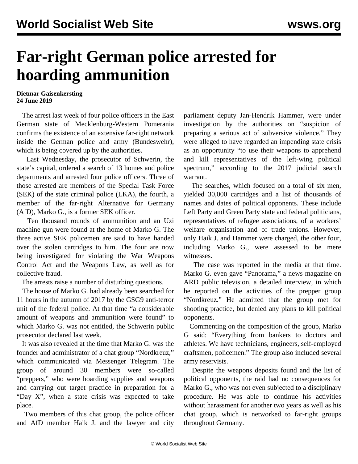## **Far-right German police arrested for hoarding ammunition**

**Dietmar Gaisenkersting 24 June 2019**

 The arrest last week of four police officers in the East German state of Mecklenburg-Western Pomerania confirms the existence of an extensive far-right network inside the German police and army (Bundeswehr), which is being covered up by the authorities.

 Last Wednesday, the prosecutor of Schwerin, the state's capital, ordered a search of 13 homes and police departments and arrested four police officers. Three of those arrested are members of the Special Task Force (SEK) of the state criminal police (LKA), the fourth, a member of the far-right Alternative for Germany (AfD), Marko G., is a former SEK officer.

 Ten thousand rounds of ammunition and an Uzi machine gun were found at the home of Marko G. The three active SEK policemen are said to have handed over the stolen cartridges to him. The four are now being investigated for violating the War Weapons Control Act and the Weapons Law, as well as for collective fraud.

The arrests raise a number of disturbing questions.

 The house of Marko G. had already been searched for 11 hours in the autumn of 2017 by the GSG9 anti-terror unit of the federal police. At that time "a considerable amount of weapons and ammunition were found" to which Marko G. was not entitled, the Schwerin public prosecutor declared last week.

 It was also revealed at the time that Marko G. was the founder and administrator of a chat group "Nordkreuz," which communicated via Messenger Telegram. The group of around 30 members were so-called "preppers," who were hoarding supplies and weapons and carrying out target practice in preparation for a "Day X", when a state crisis was expected to take place.

 Two members of this chat group, the police officer and AfD member Haik J. and the lawyer and city parliament deputy Jan-Hendrik Hammer, were under investigation by the authorities on "suspicion of preparing a serious act of subversive violence." They were alleged to have regarded an impending state crisis as an opportunity "to use their weapons to apprehend and kill representatives of the left-wing political spectrum," according to the 2017 judicial search warrant.

 The searches, which focused on a total of six men, yielded 30,000 cartridges and a list of thousands of names and dates of political opponents. These include Left Party and Green Party state and federal politicians, representatives of refugee associations, of a workers' welfare organisation and of trade unions. However, only Haik J. and Hammer were charged, the other four, including Marko G., were assessed to be mere witnesses.

 The case was reported in the media at that time. Marko G. even gave "Panorama," a news magazine on ARD public television, a detailed interview, in which he reported on the activities of the prepper group "Nordkreuz." He admitted that the group met for shooting practice, but denied any plans to kill political opponents.

 Commenting on the composition of the group, Marko G said: "Everything from bankers to doctors and athletes. We have technicians, engineers, self-employed craftsmen, policemen." The group also included several army reservists.

 Despite the weapons deposits found and the list of political opponents, the raid had no consequences for Marko G., who was not even subjected to a disciplinary procedure. He was able to continue his activities without harassment for another two years as well as his chat group, which is networked to far-right groups throughout Germany.